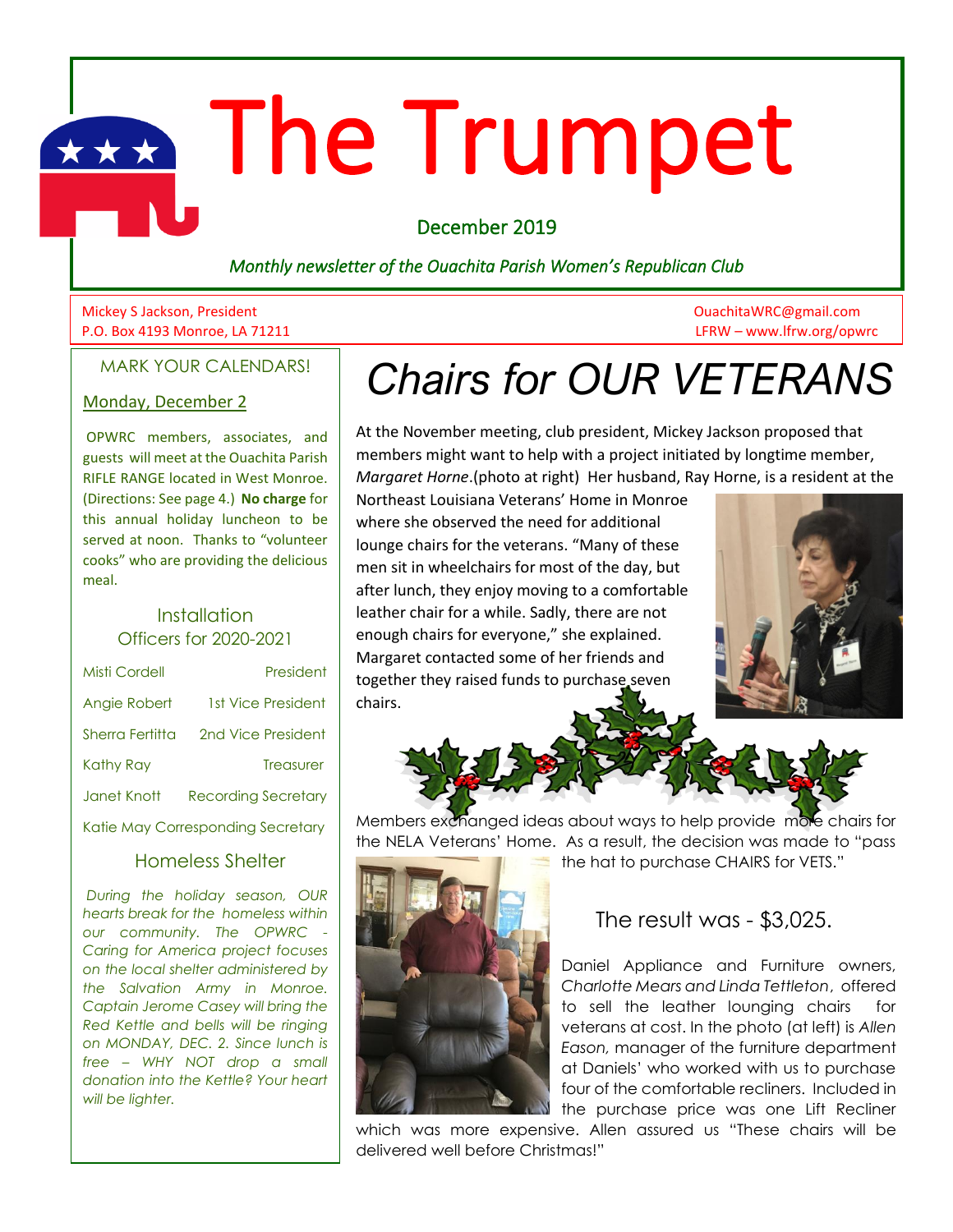# **The Trumpet**

December 2019

*Monthly newsletter of the Ouachita Parish Women's Republican Club*

Mickey S Jackson, President OuachitaWRC@gmail.com P.O. Box 4193 Monroe, LA 71211 LFRW – www.lfrw.org/opwrc

MARK YOUR CALENDARS!

#### Monday, December 2

OPWRC members, associates, and guests will meet at the Ouachita Parish RIFLE RANGE located in West Monroe. (Directions: See page 4.) **No charge** for this annual holiday luncheon to be served at noon. Thanks to "volunteer cooks" who are providing the delicious meal.

#### **Installation** Officers for 2020-2021

| Misti Cordell                     | President                  |
|-----------------------------------|----------------------------|
| Angie Robert                      | 1st Vice President         |
| Sherra Fertitta                   | 2nd Vice President         |
| Kathy Ray                         | <b>Treasurer</b>           |
| Janet Knott                       | <b>Recording Secretary</b> |
| Katie May Corresponding Secretary |                            |

#### Homeless Shelter

*During the holiday season, OUR hearts break for the homeless within our community. The OPWRC - Caring for America project focuses on the local shelter administered by the Salvation Army in Monroe. Captain Jerome Casey will bring the Red Kettle and bells will be ringing on MONDAY, DEC. 2. Since lunch is free – WHY NOT drop a small donation into the Kettle? Your heart will be lighter.* 

# *Chairs for OUR VETERANS*

At the November meeting, club president, Mickey Jackson proposed that members might want to help with a project initiated by longtime member, *Margaret Horne*.(photo at right) Her husband, Ray Horne, is a resident at the

Northeast Louisiana Veterans' Home in Monroe where she observed the need for additional lounge chairs for the veterans. "Many of these men sit in wheelchairs for most of the day, but after lunch, they enjoy moving to a comfortable leather chair for a while. Sadly, there are not enough chairs for everyone," she explained. Margaret contacted some of her friends and together they raised funds to purchase seven chairs.





Members exchanged ideas about ways to help provide more chairs for the NELA Veterans' Home. As a result, the decision was made to "pass the hat to purchase CHAIRS for VETS."



The result was - \$3,025.

Daniel Appliance and Furniture owners, *Charlotte Mears and Linda Tettleton*, offered to sell the leather lounging chairs for veterans at cost. In the photo (at left) is *Allen Eason,* manager of the furniture department at Daniels' who worked with us to purchase four of the comfortable recliners. Included in the purchase price was one Lift Recliner

which was more expensive. Allen assured us "These chairs will be delivered well before Christmas!"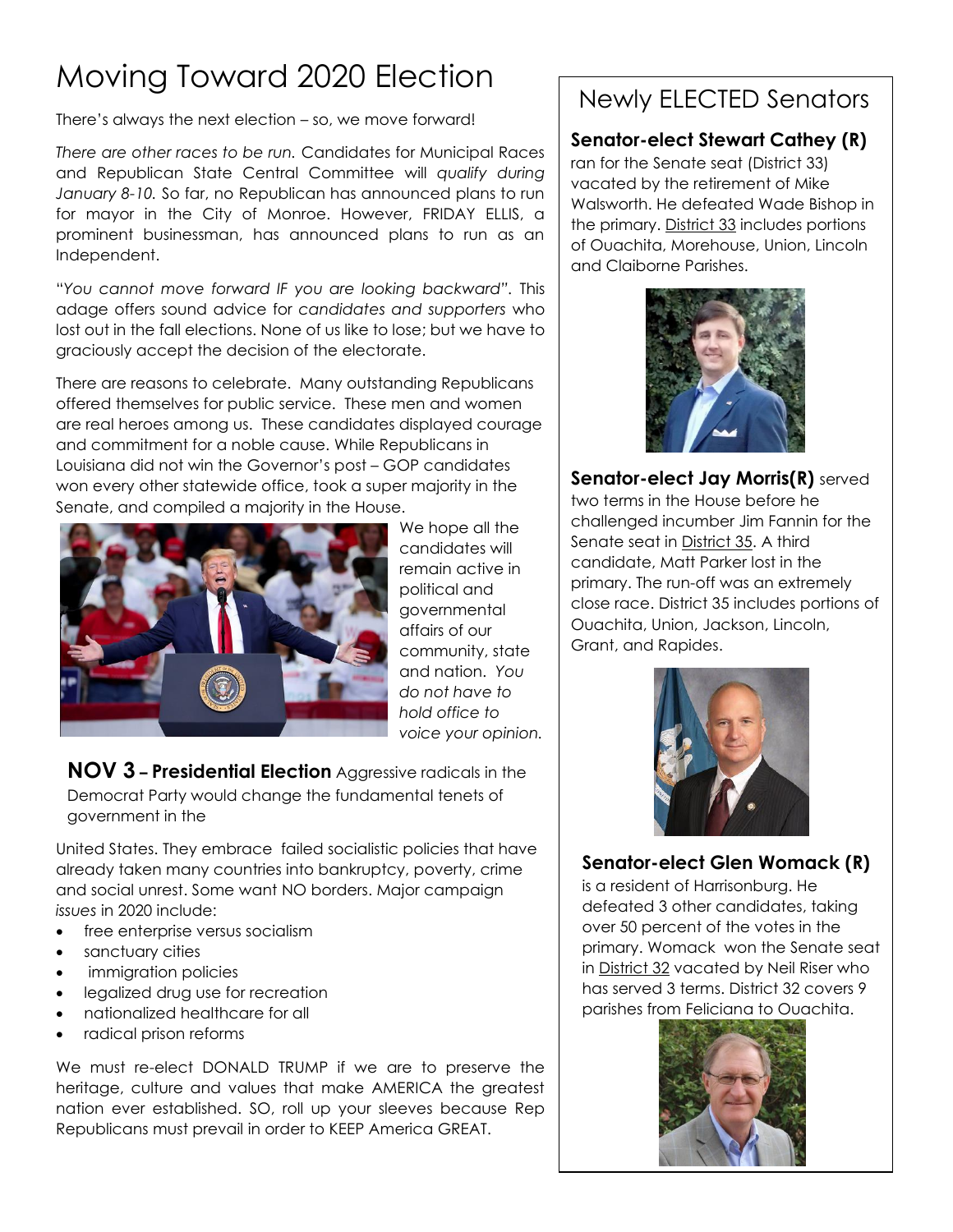# Moving Toward 2020 Election

There's always the next election – so, we move forward!

*There are other races to be run.* Candidates for Municipal Races and Republican State Central Committee will *qualify during January 8-10.* So far, no Republican has announced plans to run for mayor in the City of Monroe. However, FRIDAY ELLIS, a prominent businessman, has announced plans to run as an Independent.

"*You cannot move forward IF you are looking backward".* This adage offers sound advice for *candidates and supporters* who lost out in the fall elections. None of us like to lose; but we have to graciously accept the decision of the electorate.

There are reasons to celebrate. Many outstanding Republicans offered themselves for public service. These men and women are real heroes among us. These candidates displayed courage and commitment for a noble cause. While Republicans in Louisiana did not win the Governor's post – GOP candidates won every other statewide office, took a super majority in the Senate, and compiled a majority in the House.



We hope all the candidates will remain active in political and governmental affairs of our community, state and nation. *You do not have to hold office to voice your opinion.*

**NOV 3 – Presidential Election** Aggressive radicals in the Democrat Party would change the fundamental tenets of government in the

United States. They embrace failed socialistic policies that have already taken many countries into bankruptcy, poverty, crime and social unrest. Some want NO borders. Major campaign *issues* in 2020 include:

- free enterprise versus socialism
- sanctuary cities
- immigration policies
- legalized drug use for recreation
- nationalized healthcare for all
- radical prison reforms

We must re-elect DONALD TRUMP if we are to preserve the heritage, culture and values that make AMERICA the greatest nation ever established. SO, roll up your sleeves because Rep Republicans must prevail in order to KEEP America GREAT.

## Newly ELECTED Senators

#### **Senator-elect Stewart Cathey (R)**

ran for the Senate seat (District 33) vacated by the retirement of Mike Walsworth. He defeated Wade Bishop in the primary. District 33 includes portions of Ouachita, Morehouse, Union, Lincoln and Claiborne Parishes.



**Senator-elect Jay Morris(R)** served two terms in the House before he challenged incumber Jim Fannin for the Senate seat in District 35. A third candidate, Matt Parker lost in the primary. The run-off was an extremely close race. District 35 includes portions of Ouachita, Union, Jackson, Lincoln, Grant, and Rapides.



### **Senator-elect Glen Womack (R)**

is a resident of Harrisonburg. He defeated 3 other candidates, taking over 50 percent of the votes in the primary. Womack won the Senate seat in District 32 vacated by Neil Riser who has served 3 terms. District 32 covers 9 parishes from Feliciana to Ouachita.

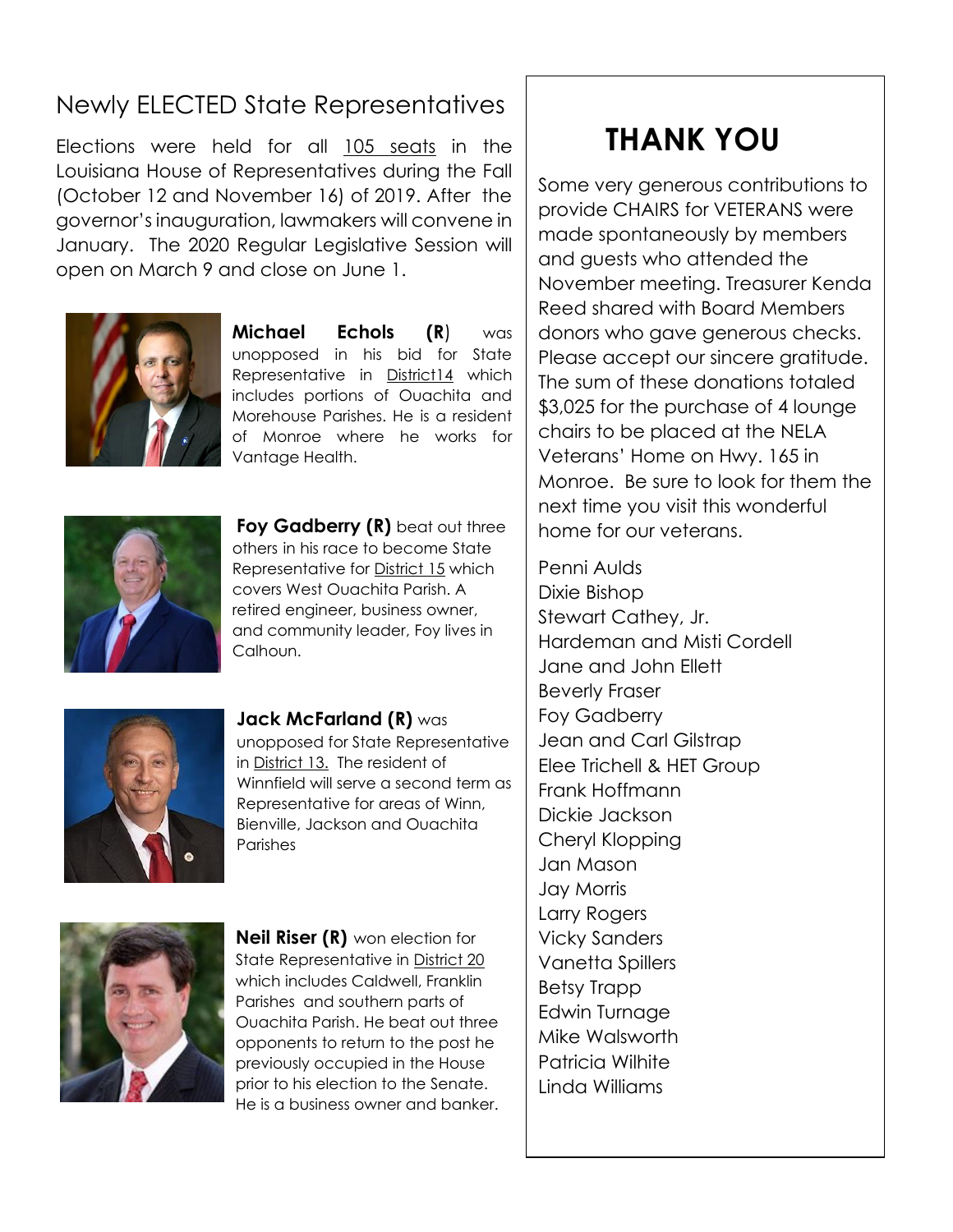# Newly ELECTED State Representatives

Elections were held for all 105 seats in the Louisiana House of Representatives during the Fall (October 12 and November 16) of 2019. After the governor's inauguration, lawmakers will convene in January. The 2020 Regular Legislative Session will open on March 9 and close on June 1.



**Michael Echols (R**) was unopposed in his bid for State Representative in District14 which includes portions of Ouachita and Morehouse Parishes. He is a resident of Monroe where he works for Vantage Health.



**Foy Gadberry (R)** beat out three others in his race to become State Representative for District 15 which covers West Ouachita Parish. A retired engineer, business owner, and community leader, Foy lives in Calhoun.



**Jack McFarland (R)** was unopposed for State Representative in District 13. The resident of Winnfield will serve a second term as Representative for areas of Winn, Bienville, Jackson and Ouachita Parishes



**Neil Riser (R)** won election for State Representative in District 20 which includes Caldwell, Franklin Parishes and southern parts of Ouachita Parish. He beat out three opponents to return to the post he previously occupied in the House prior to his election to the Senate. He is a business owner and banker.

# **THANK YOU**

Some very generous contributions to provide CHAIRS for VETERANS were made spontaneously by members and guests who attended the November meeting. Treasurer Kenda Reed shared with Board Members donors who gave generous checks. Please accept our sincere gratitude. The sum of these donations totaled \$3,025 for the purchase of 4 lounge chairs to be placed at the NELA Veterans' Home on Hwy. 165 in Monroe. Be sure to look for them the next time you visit this wonderful home for our veterans.

Penni Aulds Dixie Bishop Stewart Cathey, Jr. Hardeman and Misti Cordell Jane and John Ellett Beverly Fraser Foy Gadberry Jean and Carl Gilstrap Elee Trichell & HET Group Frank Hoffmann Dickie Jackson Cheryl Klopping Jan Mason Jay Morris Larry Rogers Vicky Sanders Vanetta Spillers Betsy Trapp Edwin Turnage Mike Walsworth Patricia Wilhite Linda Williams

 $\overline{a}$